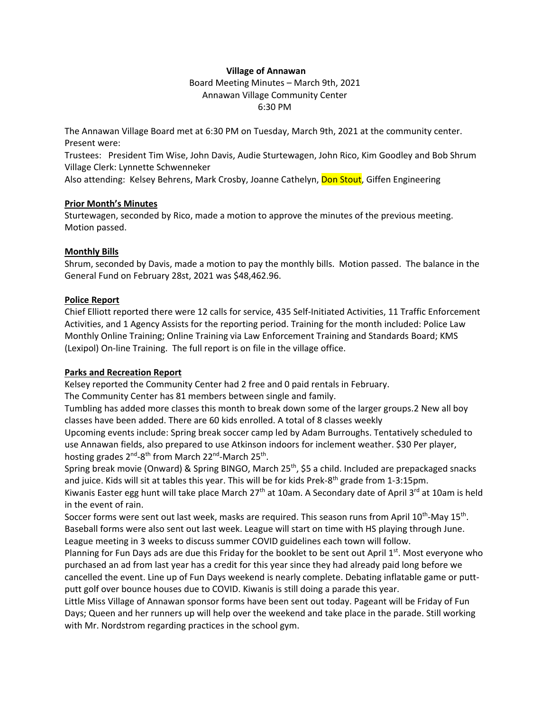### **Village of Annawan**

Board Meeting Minutes – March 9th, 2021 Annawan Village Community Center 6:30 PM

The Annawan Village Board met at 6:30 PM on Tuesday, March 9th, 2021 at the community center. Present were:

Trustees: President Tim Wise, John Davis, Audie Sturtewagen, John Rico, Kim Goodley and Bob Shrum Village Clerk: Lynnette Schwenneker

Also attending: Kelsey Behrens, Mark Crosby, Joanne Cathelyn, Don Stout, Giffen Engineering

## **Prior Month's Minutes**

Sturtewagen, seconded by Rico, made a motion to approve the minutes of the previous meeting. Motion passed.

# **Monthly Bills**

Shrum, seconded by Davis, made a motion to pay the monthly bills. Motion passed. The balance in the General Fund on February 28st, 2021 was \$48,462.96.

# **Police Report**

Chief Elliott reported there were 12 calls for service, 435 Self-Initiated Activities, 11 Traffic Enforcement Activities, and 1 Agency Assists for the reporting period. Training for the month included: Police Law Monthly Online Training; Online Training via Law Enforcement Training and Standards Board; KMS (Lexipol) On-line Training. The full report is on file in the village office.

# **Parks and Recreation Report**

Kelsey reported the Community Center had 2 free and 0 paid rentals in February. The Community Center has 81 members between single and family.

Tumbling has added more classes this month to break down some of the larger groups.2 New all boy classes have been added. There are 60 kids enrolled. A total of 8 classes weekly

Upcoming events include: Spring break soccer camp led by Adam Burroughs. Tentatively scheduled to use Annawan fields, also prepared to use Atkinson indoors for inclement weather. \$30 Per player, hosting grades 2<sup>nd</sup>-8<sup>th</sup> from March 22<sup>nd</sup>-March 25<sup>th</sup>.

Spring break movie (Onward) & Spring BINGO, March 25<sup>th</sup>, \$5 a child. Included are prepackaged snacks and juice. Kids will sit at tables this year. This will be for kids Prek-8<sup>th</sup> grade from 1-3:15pm.

Kiwanis Easter egg hunt will take place March 27<sup>th</sup> at 10am. A Secondary date of April 3<sup>rd</sup> at 10am is held in the event of rain.

Soccer forms were sent out last week, masks are required. This season runs from April 10<sup>th</sup>-May 15<sup>th</sup>. Baseball forms were also sent out last week. League will start on time with HS playing through June. League meeting in 3 weeks to discuss summer COVID guidelines each town will follow.

Planning for Fun Days ads are due this Friday for the booklet to be sent out April 1<sup>st</sup>. Most everyone who purchased an ad from last year has a credit for this year since they had already paid long before we cancelled the event. Line up of Fun Days weekend is nearly complete. Debating inflatable game or puttputt golf over bounce houses due to COVID. Kiwanis is still doing a parade this year.

Little Miss Village of Annawan sponsor forms have been sent out today. Pageant will be Friday of Fun Days; Queen and her runners up will help over the weekend and take place in the parade. Still working with Mr. Nordstrom regarding practices in the school gym.